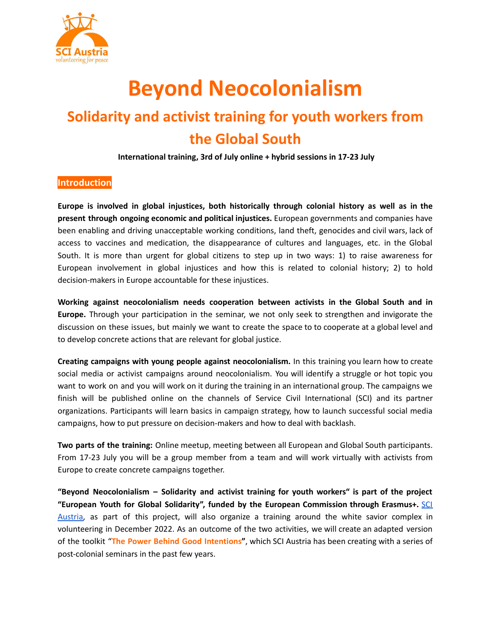

# **Beyond Neocolonialism**

# **Solidarity and activist training for youth workers from the Global South**

**International training, 3rd of July online + hybrid sessions in 17-23 July**

# **Introduction**

**Europe is involved in global injustices, both historically through colonial history as well as in the present through ongoing economic and political injustices.** European governments and companies have been enabling and driving unacceptable working conditions, land theft, genocides and civil wars, lack of access to vaccines and medication, the disappearance of cultures and languages, etc. in the Global South. It is more than urgent for global citizens to step up in two ways: 1) to raise awareness for European involvement in global injustices and how this is related to colonial history; 2) to hold decision-makers in Europe accountable for these injustices.

**Working against neocolonialism needs cooperation between activists in the Global South and in Europe.** Through your participation in the seminar, we not only seek to strengthen and invigorate the discussion on these issues, but mainly we want to create the space to to cooperate at a global level and to develop concrete actions that are relevant for global justice.

**Creating campaigns with young people against neocolonialism.** In this training you learn how to create social media or activist campaigns around neocolonialism. You will identify a struggle or hot topic you want to work on and you will work on it during the training in an international group. The campaigns we finish will be published online on the channels of Service Civil International (SCI) and its partner organizations. Participants will learn basics in campaign strategy, how to launch successful social media campaigns, how to put pressure on decision-makers and how to deal with backlash.

**Two parts of the training:** Online meetup, meeting between all European and Global South participants. From 17-23 July you will be a group member from a team and will work virtually with activists from Europe to create concrete campaigns together.

**"Beyond Neocolonialism – Solidarity and activist training for youth workers" is part of the project "European Youth for Global Solidarity", funded by the European Commission through Erasmus+.** [SCI](https://www.sciaustria.org/) [Austria,](https://www.sciaustria.org/) as part of this project, will also organize a training around the white savior complex in volunteering in December 2022. As an outcome of the two activities, we will create an adapted version of the toolkit "**The Power Behind Good [Intentions](https://sci.ngo/resource/picturing-the-global-south-the-power-behind-good-intentions/)"**, which SCI Austria has been creating with a series of post-colonial seminars in the past few years.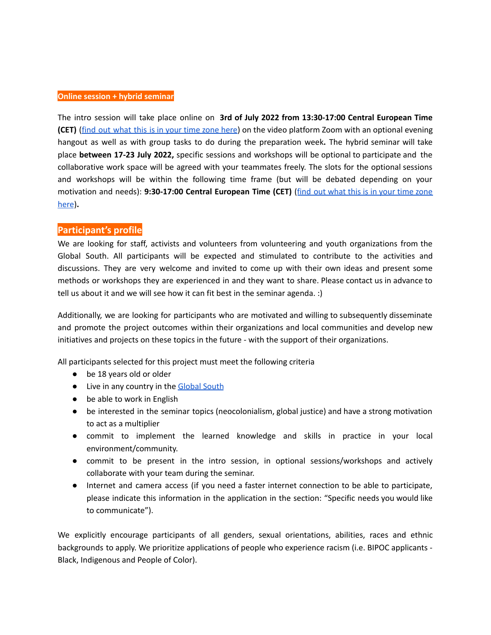#### **Online session + hybrid seminar**

The intro session will take place online on **3rd of July 2022 from 13:30-17:00 Central European Time (CET)** (find out [what](https://www.timeanddate.com/worldclock/fixedtime.html?msg=Beyond+Neocolonialism+intro+session&iso=20220703T1330&p1=259) this is in your time zone here) on the video platform Zoom with an optional evening hangout as well as with group tasks to do during the preparation week**.** The hybrid seminar will take place **between 17-23 July 2022,** specific sessions and workshops will be optional to participate and the collaborative work space will be agreed with your teammates freely. The slots for the optional sessions and workshops will be within the following time frame (but will be debated depending on your motivation and needs): **9:30-17:00 Central European Time (CET)** (find out [what](https://www.timeanddate.com/worldclock/fixedtime.html?msg=Beyond+Neocolonialism+Seminar&iso=20220717T0930&p1=259) this is in your time zone [here](https://www.timeanddate.com/worldclock/fixedtime.html?msg=Beyond+Neocolonialism+Seminar&iso=20220717T0930&p1=259))**.**

# **Participant's profile**

We are looking for staff, activists and volunteers from volunteering and youth organizations from the Global South. All participants will be expected and stimulated to contribute to the activities and discussions. They are very welcome and invited to come up with their own ideas and present some methods or workshops they are experienced in and they want to share. Please contact us in advance to tell us about it and we will see how it can fit best in the seminar agenda. :)

Additionally, we are looking for participants who are motivated and willing to subsequently disseminate and promote the project outcomes within their organizations and local communities and develop new initiatives and projects on these topics in the future - with the support of their organizations.

All participants selected for this project must meet the following criteria

- be 18 years old or older
- Live in any country in the [Global](https://owsd.net/sites/default/files/OWSD%20138%20Countries%20-%20Global%20South.pdf) South
- be able to work in English
- be interested in the seminar topics (neocolonialism, global justice) and have a strong motivation to act as a multiplier
- commit to implement the learned knowledge and skills in practice in your local environment/community.
- commit to be present in the intro session, in optional sessions/workshops and actively collaborate with your team during the seminar.
- Internet and camera access (if you need a faster internet connection to be able to participate, please indicate this information in the application in the section: "Specific needs you would like to communicate").

We explicitly encourage participants of all genders, sexual orientations, abilities, races and ethnic backgrounds to apply. We prioritize applications of people who experience racism (i.e. BIPOC applicants - Black, Indigenous and People of Color).